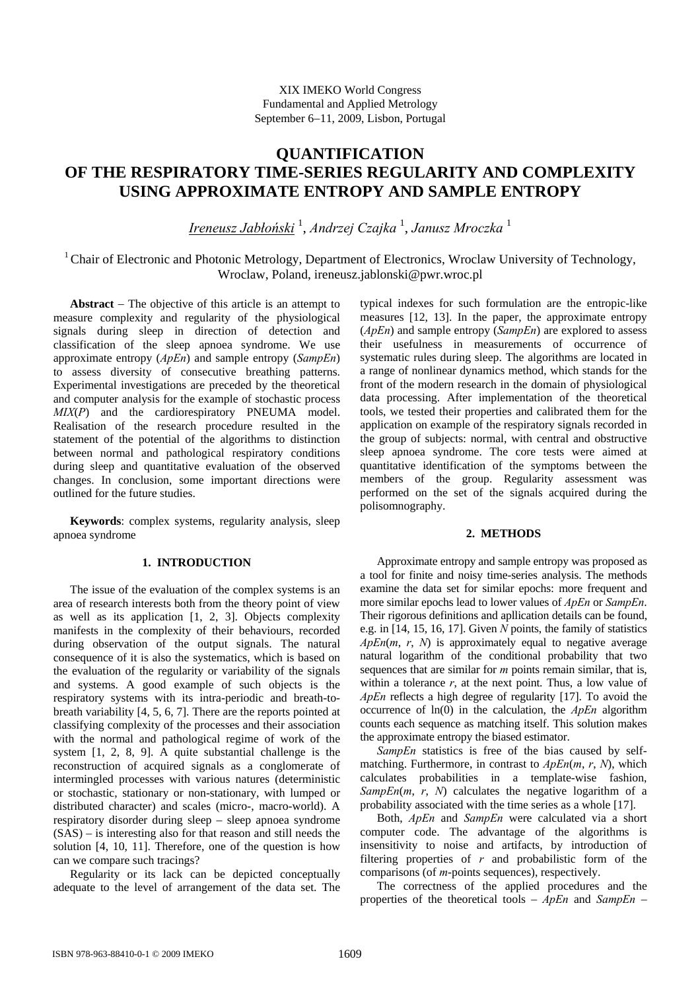# **QUANTIFICATION OF THE RESPIRATORY TIME-SERIES REGULARITY AND COMPLEXITY USING APPROXIMATE ENTROPY AND SAMPLE ENTROPY**

*Ireneusz Jabłoński* <sup>1</sup> , *Andrzej Czajka* <sup>1</sup> , *Janusz Mroczka* <sup>1</sup>

<sup>1</sup> Chair of Electronic and Photonic Metrology, Department of Electronics, Wroclaw University of Technology, Wroclaw, Poland, ireneusz.jablonski@pwr.wroc.pl

**Abstract** − The objective of this article is an attempt to measure complexity and regularity of the physiological signals during sleep in direction of detection and classification of the sleep apnoea syndrome. We use approximate entropy (*ApEn*) and sample entropy (*SampEn*) to assess diversity of consecutive breathing patterns. Experimental investigations are preceded by the theoretical and computer analysis for the example of stochastic process *MIX*(*P*) and the cardiorespiratory PNEUMA model. Realisation of the research procedure resulted in the statement of the potential of the algorithms to distinction between normal and pathological respiratory conditions during sleep and quantitative evaluation of the observed changes. In conclusion, some important directions were outlined for the future studies.

**Keywords**: complex systems, regularity analysis, sleep apnoea syndrome

## **1. INTRODUCTION**

The issue of the evaluation of the complex systems is an area of research interests both from the theory point of view as well as its application [1, 2, 3]. Objects complexity manifests in the complexity of their behaviours, recorded during observation of the output signals. The natural consequence of it is also the systematics, which is based on the evaluation of the regularity or variability of the signals and systems. A good example of such objects is the respiratory systems with its intra-periodic and breath-tobreath variability [4, 5, 6, 7]. There are the reports pointed at classifying complexity of the processes and their association with the normal and pathological regime of work of the system [1, 2, 8, 9]. A quite substantial challenge is the reconstruction of acquired signals as a conglomerate of intermingled processes with various natures (deterministic or stochastic, stationary or non-stationary, with lumped or distributed character) and scales (micro-, macro-world). A respiratory disorder during sleep – sleep apnoea syndrome (SAS) – is interesting also for that reason and still needs the solution [4, 10, 11]. Therefore, one of the question is how can we compare such tracings?

Regularity or its lack can be depicted conceptually adequate to the level of arrangement of the data set. The typical indexes for such formulation are the entropic-like measures [12, 13]. In the paper, the approximate entropy (*ApEn*) and sample entropy (*SampEn*) are explored to assess their usefulness in measurements of occurrence of systematic rules during sleep. The algorithms are located in a range of nonlinear dynamics method, which stands for the front of the modern research in the domain of physiological data processing. After implementation of the theoretical tools, we tested their properties and calibrated them for the application on example of the respiratory signals recorded in the group of subjects: normal, with central and obstructive sleep apnoea syndrome. The core tests were aimed at quantitative identification of the symptoms between the members of the group. Regularity assessment was performed on the set of the signals acquired during the polisomnography.

### **2. METHODS**

Approximate entropy and sample entropy was proposed as a tool for finite and noisy time-series analysis. The methods examine the data set for similar epochs: more frequent and more similar epochs lead to lower values of *ApEn* or *SampEn*. Their rigorous definitions and apllication details can be found, e.g. in [14, 15, 16, 17]. Given *N* points, the family of statistics  $ApEn(m, r, N)$  is approximately equal to negative average natural logarithm of the conditional probability that two sequences that are similar for *m* points remain similar, that is, within a tolerance  $r$ , at the next point. Thus, a low value of *ApEn* reflects a high degree of regularity [17]. To avoid the occurrence of ln(0) in the calculation, the *ApEn* algorithm counts each sequence as matching itself. This solution makes the approximate entropy the biased estimator.

*SampEn* statistics is free of the bias caused by selfmatching. Furthermore, in contrast to *ApEn*(*m*, *r*, *N*), which calculates probabilities in a template-wise fashion, *SampEn*(*m*, *r*, *N*) calculates the negative logarithm of a probability associated with the time series as a whole [17].

Both, *ApEn* and *SampEn* were calculated via a short computer code. The advantage of the algorithms is insensitivity to noise and artifacts, by introduction of filtering properties of *r* and probabilistic form of the comparisons (of *m*-points sequences), respectively.

The correctness of the applied procedures and the properties of the theoretical tools – *ApEn* and *SampEn* –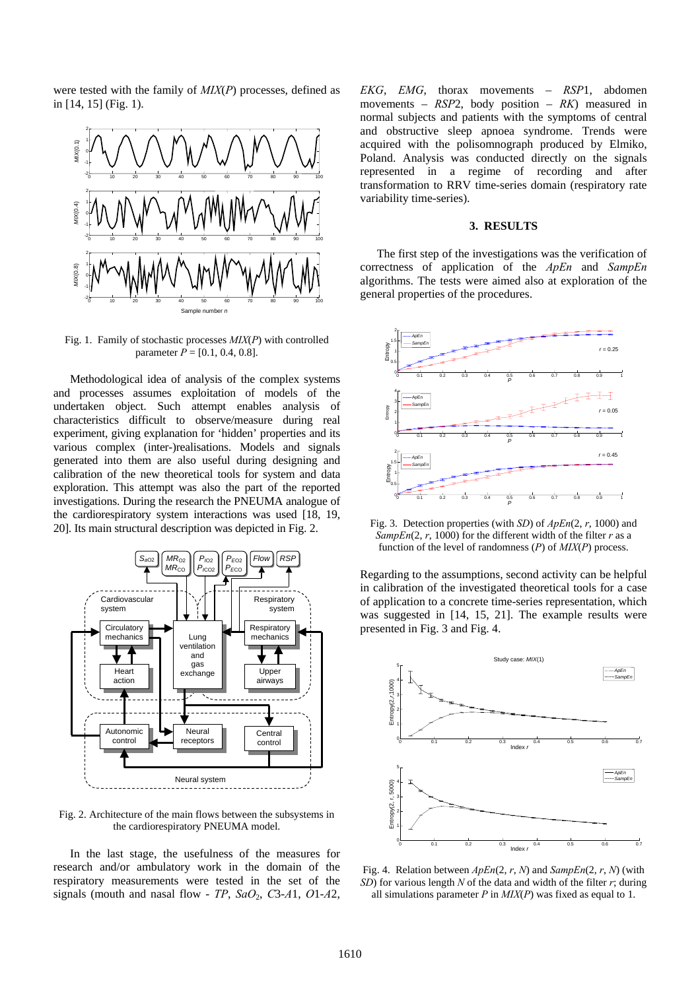were tested with the family of *MIX*(*P*) processes, defined as in [14, 15] (Fig. 1).



Fig. 1. Family of stochastic processes *MIX*(*P*) with controlled parameter  $P = [0.1, 0.4, 0.8]$ .

Methodological idea of analysis of the complex systems and processes assumes exploitation of models of the undertaken object. Such attempt enables analysis of characteristics difficult to observe/measure during real experiment, giving explanation for 'hidden' properties and its various complex (inter-)realisations. Models and signals generated into them are also useful during designing and calibration of the new theoretical tools for system and data exploration. This attempt was also the part of the reported investigations. During the research the PNEUMA analogue of the cardiorespiratory system interactions was used [18, 19, 20]. Its main structural description was depicted in Fig. 2.



Fig. 2. Architecture of the main flows between the subsystems in the cardiorespiratory PNEUMA model.

In the last stage, the usefulness of the measures for research and/or ambulatory work in the domain of the respiratory measurements were tested in the set of the signals (mouth and nasal flow -  $TP$ ,  $SaO_2$ ,  $C3-A1$ ,  $O1-A2$ , *EKG*, *EMG*, thorax movements – *RSP*1, abdomen movements – *RSP*2, body position – *RK*) measured in normal subjects and patients with the symptoms of central and obstructive sleep apnoea syndrome. Trends were acquired with the polisomnograph produced by Elmiko, Poland. Analysis was conducted directly on the signals represented in a regime of recording and after transformation to RRV time-series domain (respiratory rate variability time-series).

#### **3. RESULTS**

The first step of the investigations was the verification of correctness of application of the *ApEn* and *SampEn* algorithms. The tests were aimed also at exploration of the general properties of the procedures.



Fig. 3. Detection properties (with *SD*) of *ApEn*(2, *r*, 1000) and  $SampEn(2, r, 1000)$  for the different width of the filter *r* as a function of the level of randomness (*P*) of *MIX*(*P*) process.

Regarding to the assumptions, second activity can be helpful in calibration of the investigated theoretical tools for a case of application to a concrete time-series representation, which was suggested in [14, 15, 21]. The example results were presented in Fig. 3 and Fig. 4.



Fig. 4. Relation between *ApEn*(2, *r*, *N*) and *SampEn*(2, *r*, *N*) (with *SD*) for various length *N* of the data and width of the filter *r*; during all simulations parameter *P* in *MIX*(*P*) was fixed as equal to 1.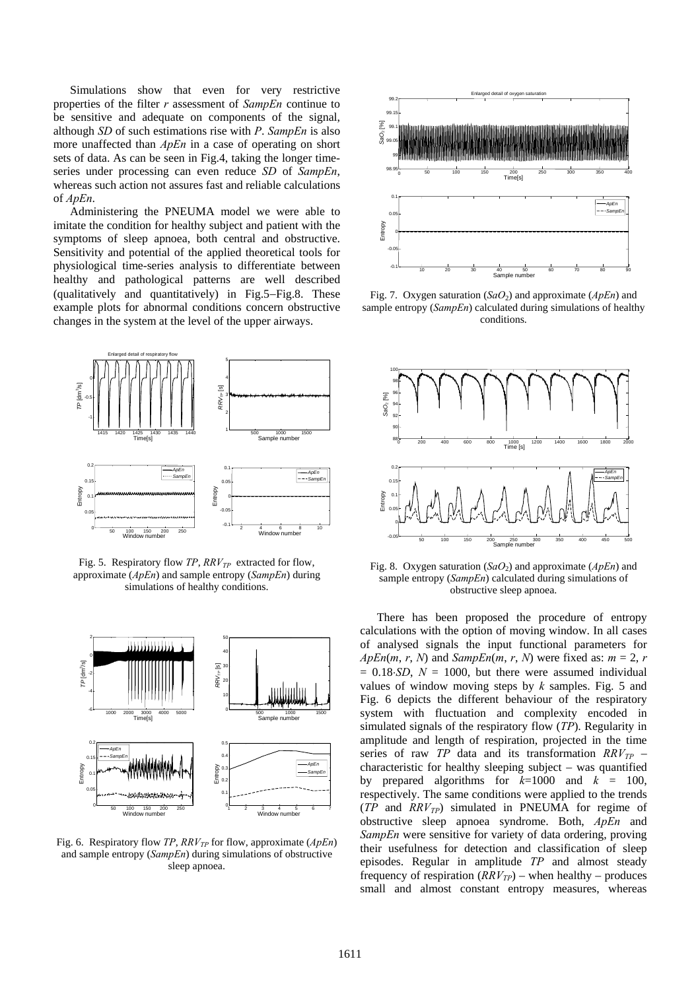Simulations show that even for very restrictive properties of the filter *r* assessment of *SampEn* continue to be sensitive and adequate on components of the signal, although *SD* of such estimations rise with *P*. *SampEn* is also more unaffected than *ApEn* in a case of operating on short sets of data. As can be seen in Fig.4, taking the longer timeseries under processing can even reduce *SD* of *SampEn*, whereas such action not assures fast and reliable calculations of *ApEn*.

Administering the PNEUMA model we were able to imitate the condition for healthy subject and patient with the symptoms of sleep apnoea, both central and obstructive. Sensitivity and potential of the applied theoretical tools for physiological time-series analysis to differentiate between healthy and pathological patterns are well described (qualitatively and quantitatively) in Fig.5−Fig.8. These example plots for abnormal conditions concern obstructive changes in the system at the level of the upper airways.



Fig. 5. Respiratory flow *TP*, *RRV<sub>TP</sub>* extracted for flow, approximate (*ApEn*) and sample entropy (*SampEn*) during simulations of healthy conditions.



Fig. 6. Respiratory flow *TP*,  $RRV_{TP}$  for flow, approximate ( $ApEn$ ) and sample entropy (*SampEn*) during simulations of obstructive sleep apnoea.



Fig. 7. Oxygen saturation (*SaO*<sub>2</sub>) and approximate (*ApEn*) and sample entropy (*SampEn*) calculated during simulations of healthy conditions.



Fig. 8. Oxygen saturation (*SaO*<sub>2</sub>) and approximate (*ApEn*) and sample entropy (*SampEn*) calculated during simulations of obstructive sleep apnoea.

There has been proposed the procedure of entropy calculations with the option of moving window. In all cases of analysed signals the input functional parameters for  $ApEn(m, r, N)$  and  $SampEn(m, r, N)$  were fixed as:  $m = 2, r$  $= 0.18 \text{ } SD$ ,  $N = 1000$ , but there were assumed individual values of window moving steps by *k* samples. Fig. 5 and Fig. 6 depicts the different behaviour of the respiratory system with fluctuation and complexity encoded in simulated signals of the respiratory flow (*TP*). Regularity in amplitude and length of respiration, projected in the time series of raw *TP* data and its transformation  $RRV_{TP}$  – characteristic for healthy sleeping subject – was quantified by prepared algorithms for  $k=1000$  and  $k = 100$ , respectively. The same conditions were applied to the trends  $(TP \text{ and } RRV_{TP})$  simulated in PNEUMA for regime of obstructive sleep apnoea syndrome. Both, *ApEn* and *SampEn* were sensitive for variety of data ordering, proving their usefulness for detection and classification of sleep episodes. Regular in amplitude *TP* and almost steady frequency of respiration  $(RRV_{TP})$  – when healthy – produces small and almost constant entropy measures, whereas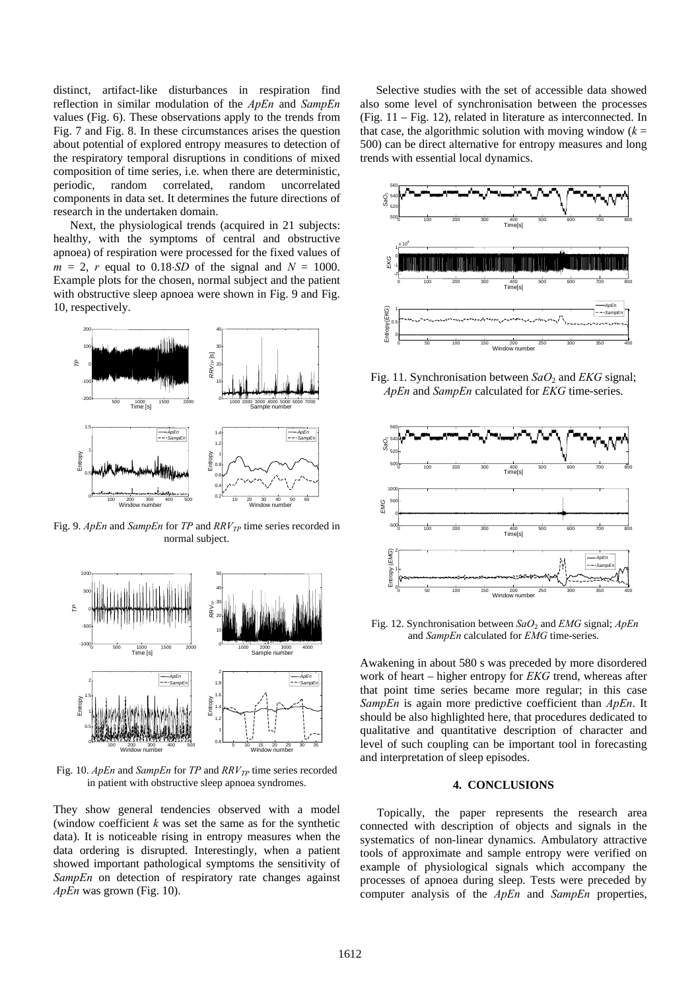distinct, artifact-like disturbances in respiration find reflection in similar modulation of the *ApEn* and *SampEn* values (Fig. 6). These observations apply to the trends from Fig. 7 and Fig. 8. In these circumstances arises the question about potential of explored entropy measures to detection of the respiratory temporal disruptions in conditions of mixed composition of time series, i.e. when there are deterministic, periodic, random correlated, random uncorrelated components in data set. It determines the future directions of research in the undertaken domain.

Next, the physiological trends (acquired in 21 subjects: healthy, with the symptoms of central and obstructive apnoea) of respiration were processed for the fixed values of  $m = 2$ , *r* equal to 0.18⋅*SD* of the signal and  $N = 1000$ . Example plots for the chosen, normal subject and the patient with obstructive sleep apnoea were shown in Fig. 9 and Fig. 10, respectively.



Fig. 9. *ApEn* and *SampEn* for *TP* and *RRV<sub>TP</sub>* time series recorded in normal subject.



Fig. 10. *ApEn* and *SampEn* for *TP* and *RRV<sub>TP</sub>* time series recorded in patient with obstructive sleep apnoea syndromes.

They show general tendencies observed with a model (window coefficient *k* was set the same as for the synthetic data). It is noticeable rising in entropy measures when the data ordering is disrupted. Interestingly, when a patient showed important pathological symptoms the sensitivity of *SampEn* on detection of respiratory rate changes against *ApEn* was grown (Fig. 10).

Selective studies with the set of accessible data showed also some level of synchronisation between the processes (Fig. 11 – Fig. 12), related in literature as interconnected. In that case, the algorithmic solution with moving window  $(k =$ 500) can be direct alternative for entropy measures and long trends with essential local dynamics.



Fig. 11. Synchronisation between *SaO*2 and *EKG* signal; *ApEn* and *SampEn* calculated for *EKG* time-series.



 Fig. 12. Synchronisation between *SaO*2 and *EMG* signal; *ApEn* and *SampEn* calculated for *EMG* time-series.

Awakening in about 580 s was preceded by more disordered work of heart – higher entropy for *EKG* trend, whereas after that point time series became more regular; in this case *SampEn* is again more predictive coefficient than *ApEn*. It should be also highlighted here, that procedures dedicated to qualitative and quantitative description of character and level of such coupling can be important tool in forecasting and interpretation of sleep episodes.

#### **4. CONCLUSIONS**

Topically, the paper represents the research area connected with description of objects and signals in the systematics of non-linear dynamics. Ambulatory attractive tools of approximate and sample entropy were verified on example of physiological signals which accompany the processes of apnoea during sleep. Tests were preceded by computer analysis of the *ApEn* and *SampEn* properties,